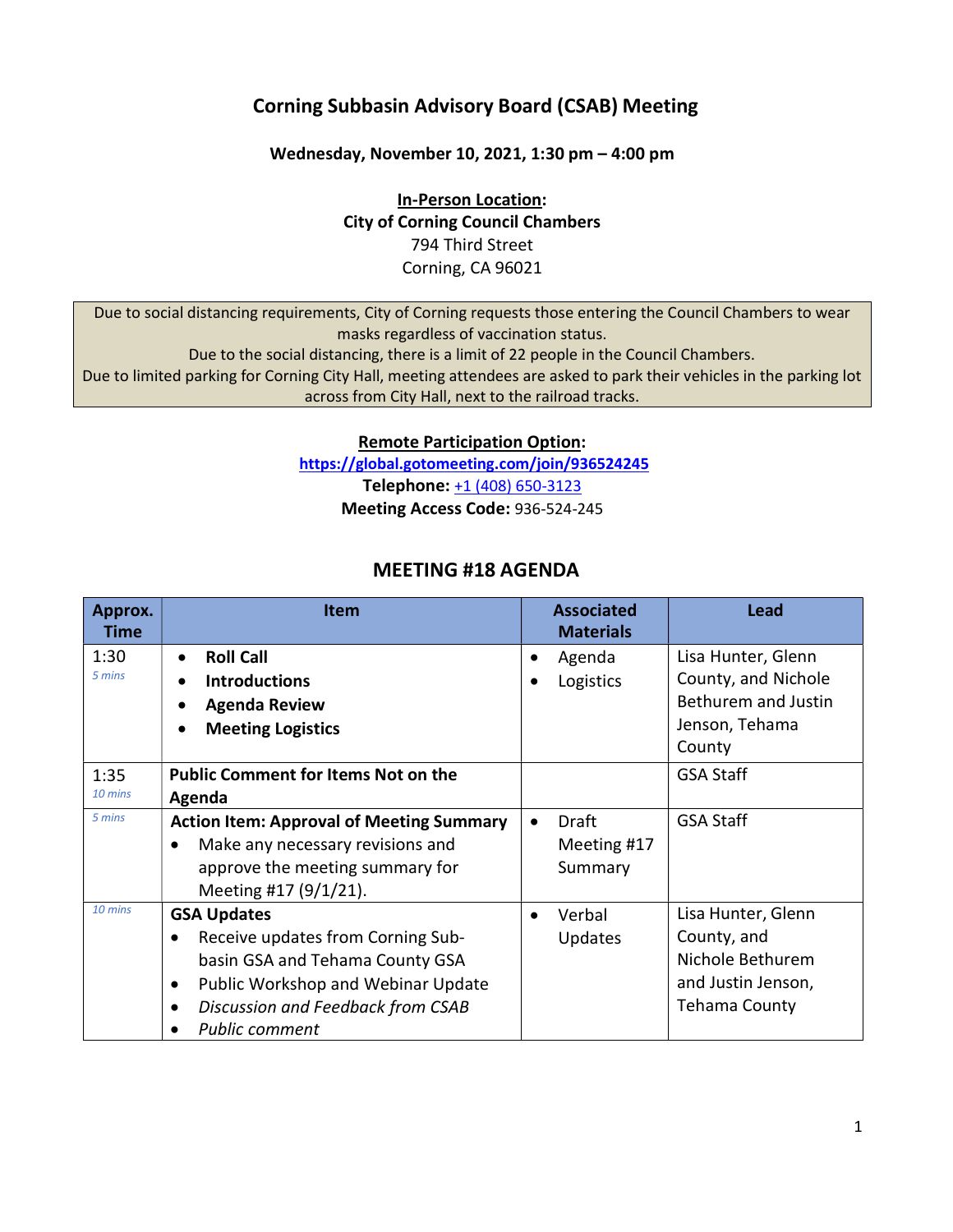## Corning Subbasin Advisory Board (CSAB) Meeting

Wednesday, November 10, 2021, 1:30 pm – 4:00 pm

In-Person Location: City of Corning Council Chambers 794 Third Street Corning, CA 96021

Due to social distancing requirements, City of Corning requests those entering the Council Chambers to wear masks regardless of vaccination status. Due to the social distancing, there is a limit of 22 people in the Council Chambers. Due to limited parking for Corning City Hall, meeting attendees are asked to park their vehicles in the parking lot

across from City Hall, next to the railroad tracks.

Remote Participation Option:

https://global.gotomeeting.com/join/936524245 Telephone: +1 (408) 650-3123 Meeting Access Code: 936-524-245

### MEETING #18 AGENDA

| Approx.<br>Time   | <b>Item</b>                                     | <b>Associated</b><br><b>Materials</b> | Lead                       |
|-------------------|-------------------------------------------------|---------------------------------------|----------------------------|
| 1:30              | <b>Roll Call</b><br>$\bullet$                   | Agenda<br>٠                           | Lisa Hunter, Glenn         |
| 5 mins            | <b>Introductions</b><br>$\bullet$               | Logistics                             | County, and Nichole        |
|                   | <b>Agenda Review</b><br>$\bullet$               |                                       | <b>Bethurem and Justin</b> |
|                   | <b>Meeting Logistics</b><br>$\bullet$           |                                       | Jenson, Tehama             |
|                   |                                                 |                                       | County                     |
| 1:35              | <b>Public Comment for Items Not on the</b>      |                                       | <b>GSA Staff</b>           |
| 10 mins           | Agenda                                          |                                       |                            |
| 5 mins            | <b>Action Item: Approval of Meeting Summary</b> | Draft                                 | <b>GSA Staff</b>           |
|                   | Make any necessary revisions and                | Meeting #17                           |                            |
|                   | approve the meeting summary for                 | Summary                               |                            |
|                   | Meeting #17 (9/1/21).                           |                                       |                            |
| $10 \text{ mins}$ | <b>GSA Updates</b>                              | Verbal                                | Lisa Hunter, Glenn         |
|                   | Receive updates from Corning Sub-               | <b>Updates</b>                        | County, and                |
|                   | basin GSA and Tehama County GSA                 |                                       | Nichole Bethurem           |
|                   | Public Workshop and Webinar Update<br>$\bullet$ |                                       | and Justin Jenson,         |
|                   | Discussion and Feedback from CSAB<br>$\bullet$  |                                       | <b>Tehama County</b>       |
|                   | Public comment                                  |                                       |                            |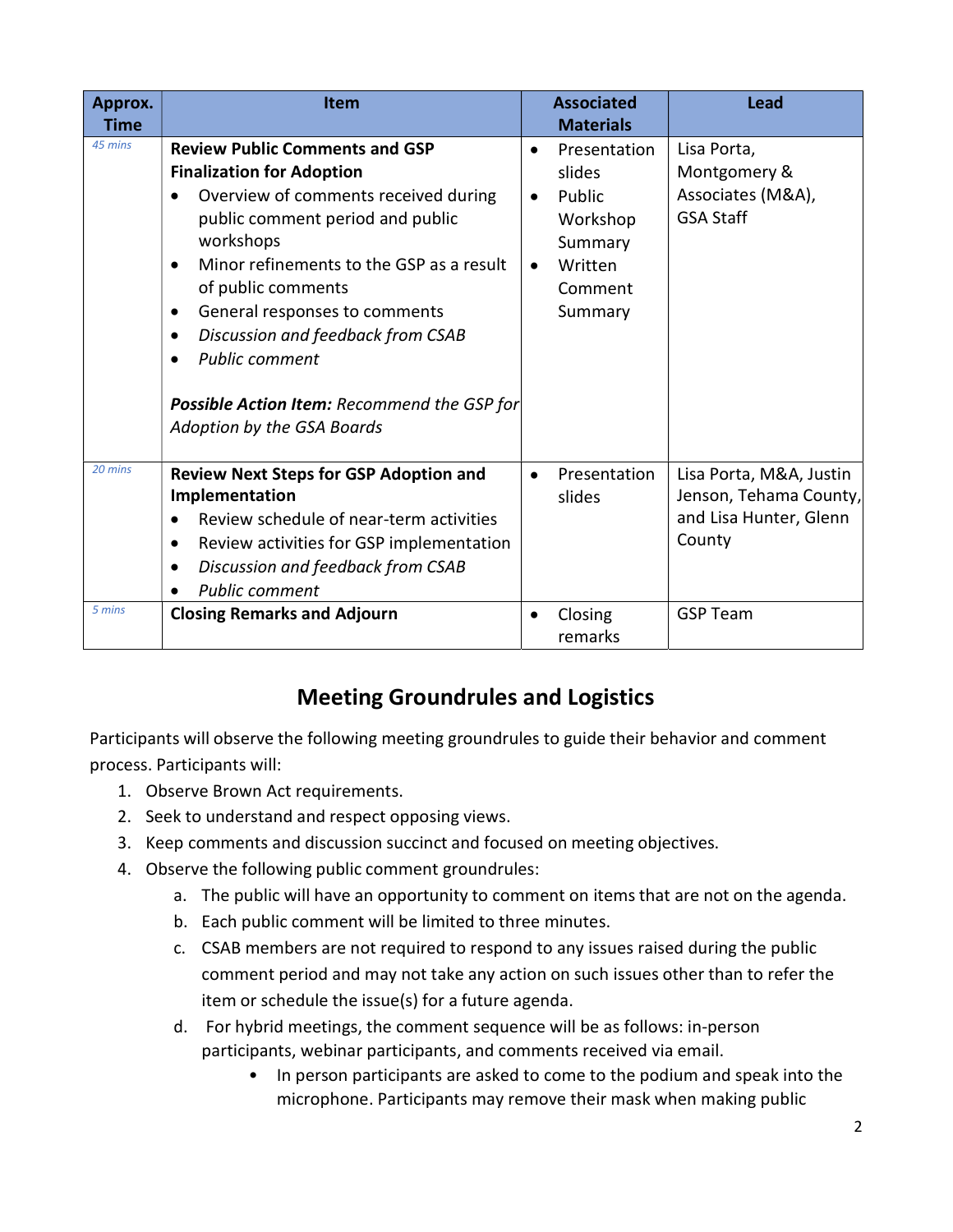| Approx.<br><b>Time</b> | <b>Item</b>                                                                                                                                                                                                                                                                                                                                                                                                                               |                        | <b>Associated</b><br><b>Materials</b>                                                    | <b>Lead</b>                                                                           |
|------------------------|-------------------------------------------------------------------------------------------------------------------------------------------------------------------------------------------------------------------------------------------------------------------------------------------------------------------------------------------------------------------------------------------------------------------------------------------|------------------------|------------------------------------------------------------------------------------------|---------------------------------------------------------------------------------------|
| 45 mins                | <b>Review Public Comments and GSP</b><br><b>Finalization for Adoption</b><br>Overview of comments received during<br>$\bullet$<br>public comment period and public<br>workshops<br>Minor refinements to the GSP as a result<br>of public comments<br>General responses to comments<br>٠<br>Discussion and feedback from CSAB<br><b>Public comment</b><br><b>Possible Action Item: Recommend the GSP for</b><br>Adoption by the GSA Boards | $\bullet$<br>$\bullet$ | Presentation<br>slides<br>Public<br>Workshop<br>Summary<br>Written<br>Comment<br>Summary | Lisa Porta,<br>Montgomery &<br>Associates (M&A),<br><b>GSA Staff</b>                  |
| 20 mins                | <b>Review Next Steps for GSP Adoption and</b><br>Implementation<br>Review schedule of near-term activities<br>Review activities for GSP implementation<br>٠<br>Discussion and feedback from CSAB<br><b>Public comment</b>                                                                                                                                                                                                                 | $\bullet$              | Presentation<br>slides                                                                   | Lisa Porta, M&A, Justin<br>Jenson, Tehama County,<br>and Lisa Hunter, Glenn<br>County |
| 5 mins                 | <b>Closing Remarks and Adjourn</b>                                                                                                                                                                                                                                                                                                                                                                                                        | ٠                      | Closing<br>remarks                                                                       | <b>GSP Team</b>                                                                       |

# Meeting Groundrules and Logistics

Participants will observe the following meeting groundrules to guide their behavior and comment process. Participants will:

- 1. Observe Brown Act requirements.
- 2. Seek to understand and respect opposing views.
- 3. Keep comments and discussion succinct and focused on meeting objectives.
- 4. Observe the following public comment groundrules:
	- a. The public will have an opportunity to comment on items that are not on the agenda.
	- b. Each public comment will be limited to three minutes.
	- c. CSAB members are not required to respond to any issues raised during the public comment period and may not take any action on such issues other than to refer the item or schedule the issue(s) for a future agenda.
	- d. For hybrid meetings, the comment sequence will be as follows: in-person participants, webinar participants, and comments received via email.
		- In person participants are asked to come to the podium and speak into the microphone. Participants may remove their mask when making public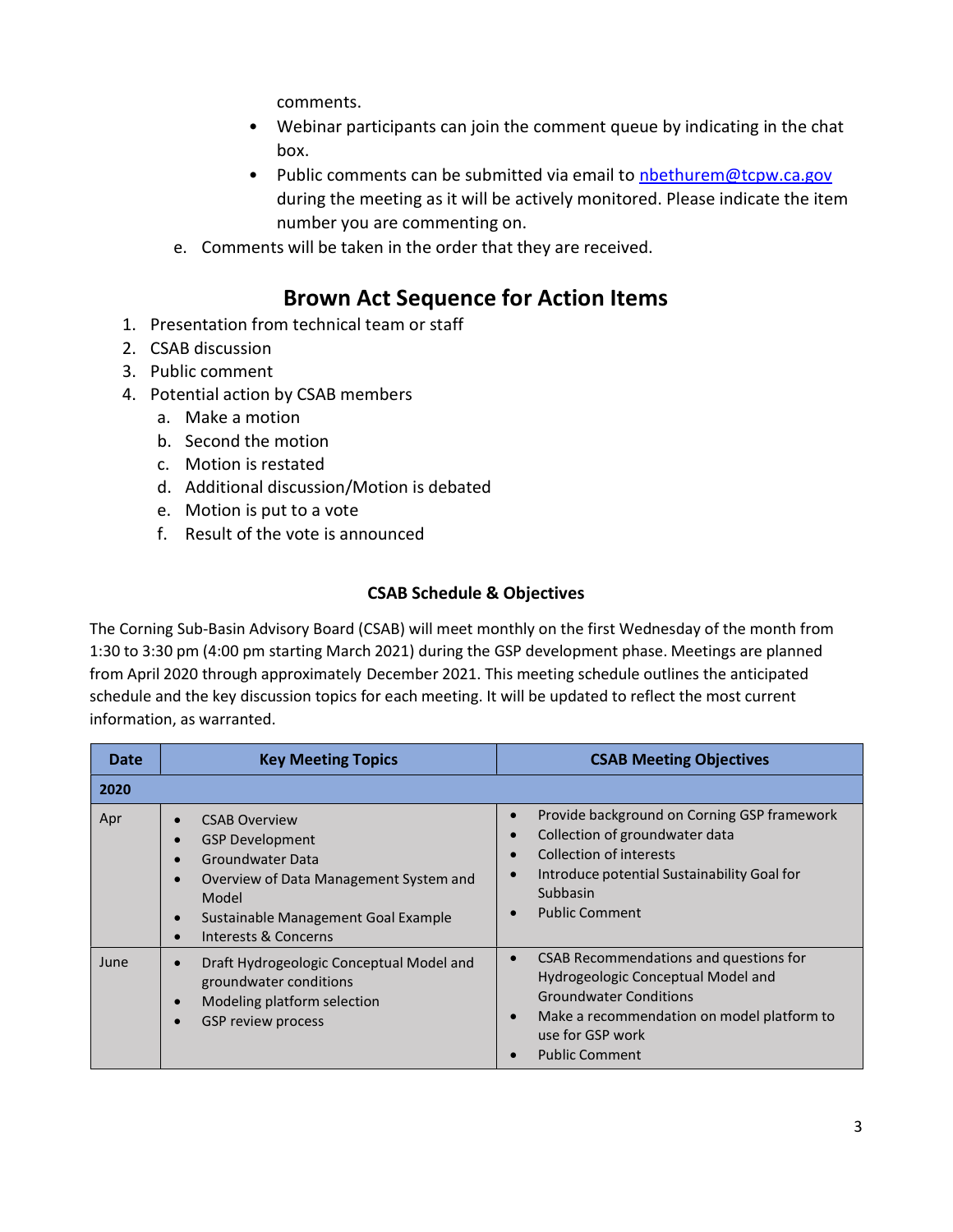comments.

- Webinar participants can join the comment queue by indicating in the chat box.
- Public comments can be submitted via email to nbethurem@tcpw.ca.gov during the meeting as it will be actively monitored. Please indicate the item number you are commenting on.
- e. Comments will be taken in the order that they are received.

## Brown Act Sequence for Action Items

- 1. Presentation from technical team or staff
- 2. CSAB discussion
- 3. Public comment
- 4. Potential action by CSAB members
	- a. Make a motion
	- b. Second the motion
	- c. Motion is restated
	- d. Additional discussion/Motion is debated
	- e. Motion is put to a vote
	- f. Result of the vote is announced

#### CSAB Schedule & Objectives

The Corning Sub-Basin Advisory Board (CSAB) will meet monthly on the first Wednesday of the month from 1:30 to 3:30 pm (4:00 pm starting March 2021) during the GSP development phase. Meetings are planned from April 2020 through approximately December 2021. This meeting schedule outlines the anticipated schedule and the key discussion topics for each meeting. It will be updated to reflect the most current information, as warranted.

| <b>Date</b> | <b>Key Meeting Topics</b>                                                                                                                                                                                                                                    | <b>CSAB Meeting Objectives</b>                                                                                                                                                                                        |
|-------------|--------------------------------------------------------------------------------------------------------------------------------------------------------------------------------------------------------------------------------------------------------------|-----------------------------------------------------------------------------------------------------------------------------------------------------------------------------------------------------------------------|
| 2020        |                                                                                                                                                                                                                                                              |                                                                                                                                                                                                                       |
| Apr         | <b>CSAB Overview</b><br>$\bullet$<br><b>GSP Development</b><br><b>Groundwater Data</b><br>$\bullet$<br>Overview of Data Management System and<br>$\bullet$<br>Model<br>Sustainable Management Goal Example<br>$\bullet$<br>Interests & Concerns<br>$\bullet$ | Provide background on Corning GSP framework<br>$\bullet$<br>Collection of groundwater data<br>Collection of interests<br>Introduce potential Sustainability Goal for<br>Subbasin<br><b>Public Comment</b>             |
| June        | Draft Hydrogeologic Conceptual Model and<br>$\bullet$<br>groundwater conditions<br>Modeling platform selection<br>$\bullet$<br>GSP review process<br>$\bullet$                                                                                               | CSAB Recommendations and questions for<br>Hydrogeologic Conceptual Model and<br><b>Groundwater Conditions</b><br>Make a recommendation on model platform to<br>$\bullet$<br>use for GSP work<br><b>Public Comment</b> |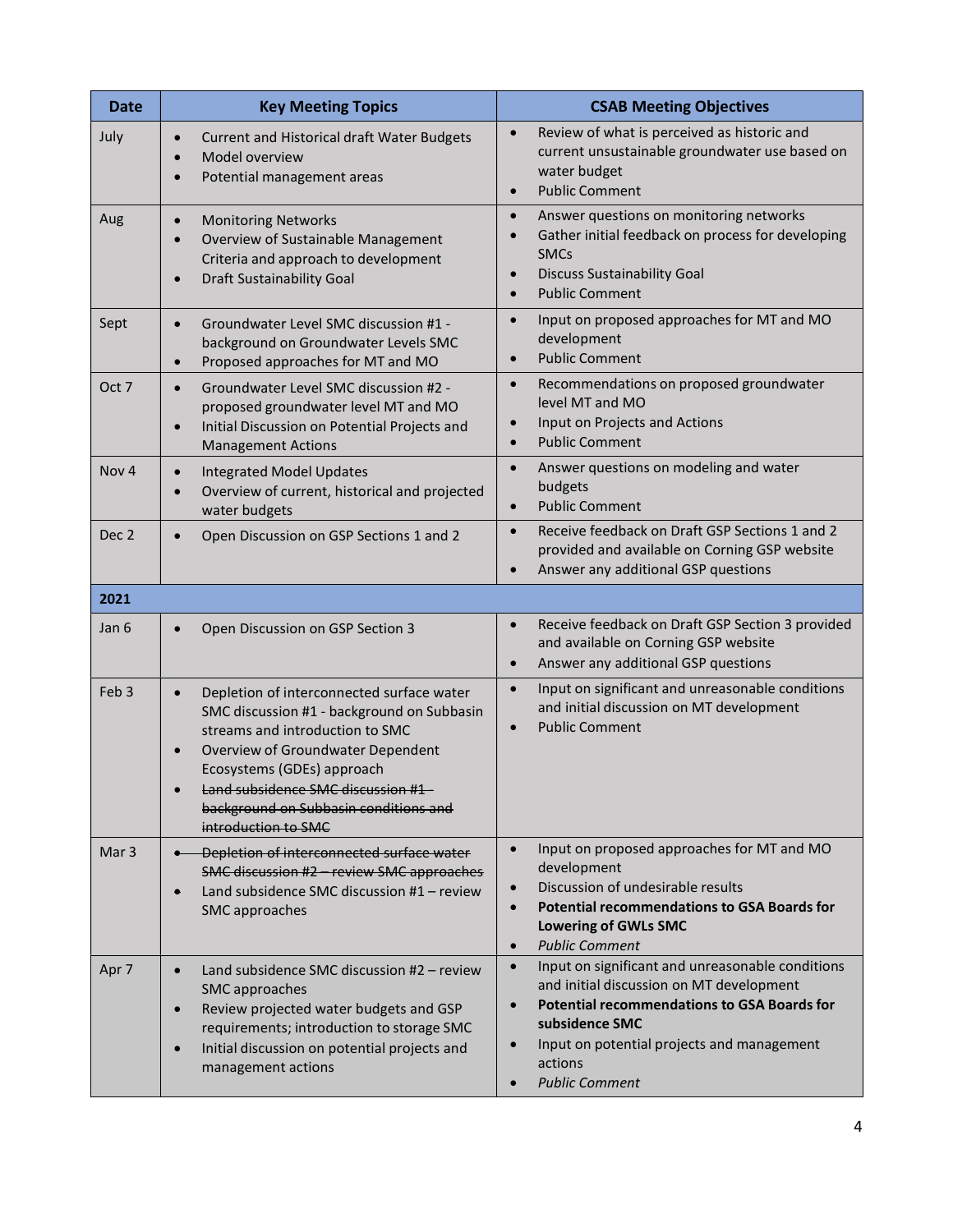| <b>Date</b>      | <b>Key Meeting Topics</b>                                                                                                                                                                                                                                                                                                    | <b>CSAB Meeting Objectives</b>                                                                                                                                                                                                                                                                             |  |
|------------------|------------------------------------------------------------------------------------------------------------------------------------------------------------------------------------------------------------------------------------------------------------------------------------------------------------------------------|------------------------------------------------------------------------------------------------------------------------------------------------------------------------------------------------------------------------------------------------------------------------------------------------------------|--|
| July             | <b>Current and Historical draft Water Budgets</b><br>$\bullet$<br>Model overview<br>$\bullet$<br>Potential management areas<br>$\bullet$                                                                                                                                                                                     | Review of what is perceived as historic and<br>$\bullet$<br>current unsustainable groundwater use based on<br>water budget<br><b>Public Comment</b><br>$\bullet$                                                                                                                                           |  |
| Aug              | <b>Monitoring Networks</b><br>$\bullet$<br>Overview of Sustainable Management<br>$\bullet$<br>Criteria and approach to development<br><b>Draft Sustainability Goal</b><br>$\bullet$                                                                                                                                          | Answer questions on monitoring networks<br>$\bullet$<br>Gather initial feedback on process for developing<br>$\bullet$<br><b>SMCs</b><br><b>Discuss Sustainability Goal</b><br>$\bullet$<br><b>Public Comment</b><br>$\bullet$                                                                             |  |
| Sept             | Groundwater Level SMC discussion #1 -<br>$\bullet$<br>background on Groundwater Levels SMC<br>Proposed approaches for MT and MO<br>$\bullet$                                                                                                                                                                                 | Input on proposed approaches for MT and MO<br>$\bullet$<br>development<br><b>Public Comment</b><br>$\bullet$                                                                                                                                                                                               |  |
| Oct 7            | Groundwater Level SMC discussion #2 -<br>$\bullet$<br>proposed groundwater level MT and MO<br>Initial Discussion on Potential Projects and<br>$\bullet$<br><b>Management Actions</b>                                                                                                                                         | Recommendations on proposed groundwater<br>$\bullet$<br>level MT and MO<br>Input on Projects and Actions<br>$\bullet$<br><b>Public Comment</b><br>$\bullet$                                                                                                                                                |  |
| Nov <sub>4</sub> | <b>Integrated Model Updates</b><br>$\bullet$<br>Overview of current, historical and projected<br>$\bullet$<br>water budgets                                                                                                                                                                                                  | $\bullet$<br>Answer questions on modeling and water<br>budgets<br><b>Public Comment</b><br>$\bullet$                                                                                                                                                                                                       |  |
| Dec <sub>2</sub> | Open Discussion on GSP Sections 1 and 2<br>$\bullet$                                                                                                                                                                                                                                                                         | Receive feedback on Draft GSP Sections 1 and 2<br>$\bullet$<br>provided and available on Corning GSP website<br>Answer any additional GSP questions<br>$\bullet$                                                                                                                                           |  |
| 2021             |                                                                                                                                                                                                                                                                                                                              |                                                                                                                                                                                                                                                                                                            |  |
| Jan 6            | Open Discussion on GSP Section 3<br>$\bullet$                                                                                                                                                                                                                                                                                | Receive feedback on Draft GSP Section 3 provided<br>$\bullet$<br>and available on Corning GSP website<br>Answer any additional GSP questions<br>$\bullet$                                                                                                                                                  |  |
| Feb <sub>3</sub> | Depletion of interconnected surface water<br>$\bullet$<br>SMC discussion #1 - background on Subbasin<br>streams and introduction to SMC<br>Overview of Groundwater Dependent<br>$\bullet$<br>Ecosystems (GDEs) approach<br>Land subsidence SMC discussion #1<br>background on Subbasin conditions and<br>introduction to SMC | Input on significant and unreasonable conditions<br>$\bullet$<br>and initial discussion on MT development<br><b>Public Comment</b><br>$\bullet$                                                                                                                                                            |  |
| Mar <sub>3</sub> | Depletion of interconnected surface water<br>SMC discussion #2 - review SMC approaches<br>Land subsidence SMC discussion #1 - review<br>$\bullet$<br>SMC approaches                                                                                                                                                          | Input on proposed approaches for MT and MO<br>$\bullet$<br>development<br>Discussion of undesirable results<br>$\bullet$<br><b>Potential recommendations to GSA Boards for</b><br>$\bullet$<br><b>Lowering of GWLs SMC</b><br><b>Public Comment</b><br>$\bullet$                                           |  |
| Apr 7            | Land subsidence SMC discussion #2 - review<br>$\bullet$<br>SMC approaches<br>Review projected water budgets and GSP<br>$\bullet$<br>requirements; introduction to storage SMC<br>Initial discussion on potential projects and<br>$\bullet$<br>management actions                                                             | Input on significant and unreasonable conditions<br>$\bullet$<br>and initial discussion on MT development<br><b>Potential recommendations to GSA Boards for</b><br>$\bullet$<br>subsidence SMC<br>Input on potential projects and management<br>$\bullet$<br>actions<br><b>Public Comment</b><br>$\bullet$ |  |